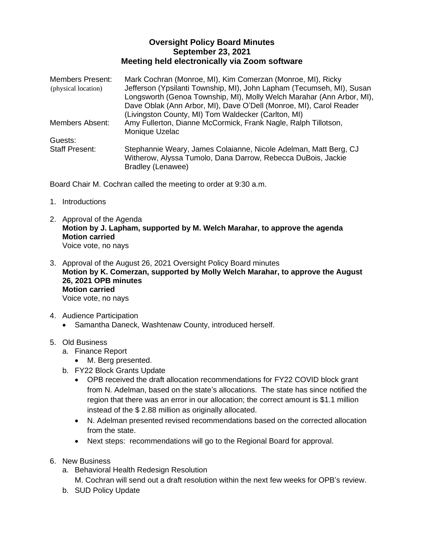## **Oversight Policy Board Minutes September 23, 2021 Meeting held electronically via Zoom software**

| <b>Members Present:</b><br>(physical location) | Mark Cochran (Monroe, MI), Kim Comerzan (Monroe, MI), Ricky<br>Jefferson (Ypsilanti Township, MI), John Lapham (Tecumseh, MI), Susan<br>Longsworth (Genoa Township, MI), Molly Welch Marahar (Ann Arbor, MI),<br>Dave Oblak (Ann Arbor, MI), Dave O'Dell (Monroe, MI), Carol Reader |
|------------------------------------------------|-------------------------------------------------------------------------------------------------------------------------------------------------------------------------------------------------------------------------------------------------------------------------------------|
|                                                | (Livingston County, MI) Tom Waldecker (Carlton, MI)                                                                                                                                                                                                                                 |
| <b>Members Absent:</b>                         | Amy Fullerton, Dianne McCormick, Frank Nagle, Ralph Tillotson,<br>Monique Uzelac                                                                                                                                                                                                    |
| Guests:                                        |                                                                                                                                                                                                                                                                                     |
| <b>Staff Present:</b>                          | Stephannie Weary, James Colaianne, Nicole Adelman, Matt Berg, CJ<br>Witherow, Alyssa Tumolo, Dana Darrow, Rebecca DuBois, Jackie<br>Bradley (Lenawee)                                                                                                                               |

Board Chair M. Cochran called the meeting to order at 9:30 a.m.

- 1. Introductions
- 2. Approval of the Agenda **Motion by J. Lapham, supported by M. Welch Marahar, to approve the agenda Motion carried** Voice vote, no nays
- 3. Approval of the August 26, 2021 Oversight Policy Board minutes **Motion by K. Comerzan, supported by Molly Welch Marahar, to approve the August 26, 2021 OPB minutes Motion carried** Voice vote, no nays
- 4. Audience Participation
	- Samantha Daneck, Washtenaw County, introduced herself.

## 5. Old Business

- a. Finance Report
	- M. Berg presented.
- b. FY22 Block Grants Update
	- OPB received the draft allocation recommendations for FY22 COVID block grant from N. Adelman, based on the state's allocations. The state has since notified the region that there was an error in our allocation; the correct amount is \$1.1 million instead of the \$ 2.88 million as originally allocated.
	- N. Adelman presented revised recommendations based on the corrected allocation from the state.
	- Next steps: recommendations will go to the Regional Board for approval.
- 6. New Business
	- a. Behavioral Health Redesign Resolution
		- M. Cochran will send out a draft resolution within the next few weeks for OPB's review.
	- b. SUD Policy Update